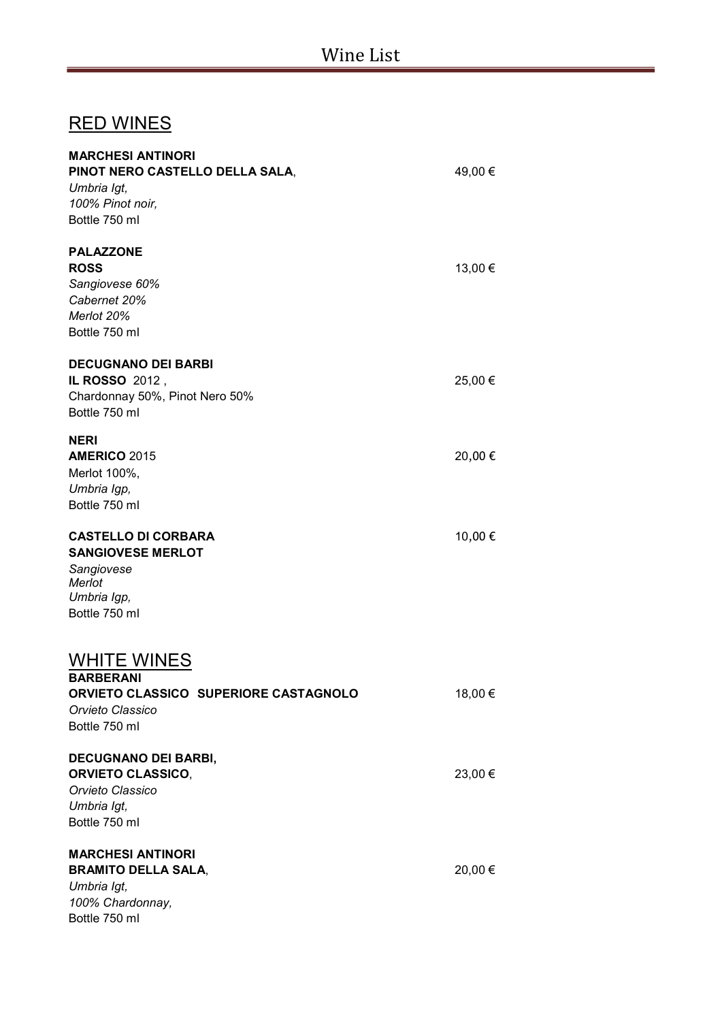## RED WINES

| <b>MARCHESI ANTINORI</b><br>PINOT NERO CASTELLO DELLA SALA, | 49,00 € |
|-------------------------------------------------------------|---------|
| Umbria Igt,                                                 |         |
| 100% Pinot noir,                                            |         |
| Bottle 750 ml                                               |         |
| <b>PALAZZONE</b>                                            |         |
| <b>ROSS</b>                                                 | 13,00 € |
| Sangiovese 60%                                              |         |
| Cabernet 20%                                                |         |
| Merlot 20%                                                  |         |
| Bottle 750 ml                                               |         |
| <b>DECUGNANO DEI BARBI</b>                                  |         |
| IL ROSSO 2012,                                              | 25,00 € |
| Chardonnay 50%, Pinot Nero 50%                              |         |
| Bottle 750 ml                                               |         |
| <b>NERI</b>                                                 |         |
| <b>AMERICO 2015</b>                                         | 20,00€  |
| Merlot 100%,                                                |         |
| Umbria Igp,                                                 |         |
| Bottle 750 ml                                               |         |
| <b>CASTELLO DI CORBARA</b>                                  | 10,00€  |
| <b>SANGIOVESE MERLOT</b>                                    |         |
| Sangiovese                                                  |         |
| Merlot                                                      |         |
| Umbria Igp,                                                 |         |
| Bottle 750 ml                                               |         |
| <b>WHITE WINES</b>                                          |         |
| <b>BARBERANI</b>                                            |         |
| ORVIETO CLASSICO SUPERIORE CASTAGNOLO                       | 18,00 € |
| Orvieto Classico                                            |         |
| Bottle 750 ml                                               |         |
|                                                             |         |
| <b>DECUGNANO DEI BARBI,</b>                                 |         |
| <b>ORVIETO CLASSICO,</b>                                    | 23,00 € |
| Orvieto Classico                                            |         |
| Umbria Igt,                                                 |         |
| Bottle 750 ml                                               |         |
| <b>MARCHESI ANTINORI</b>                                    |         |
| <b>BRAMITO DELLA SALA,</b>                                  | 20,00 € |
| Umbria Igt,                                                 |         |
| 100% Chardonnay,                                            |         |
| Bottle 750 ml                                               |         |